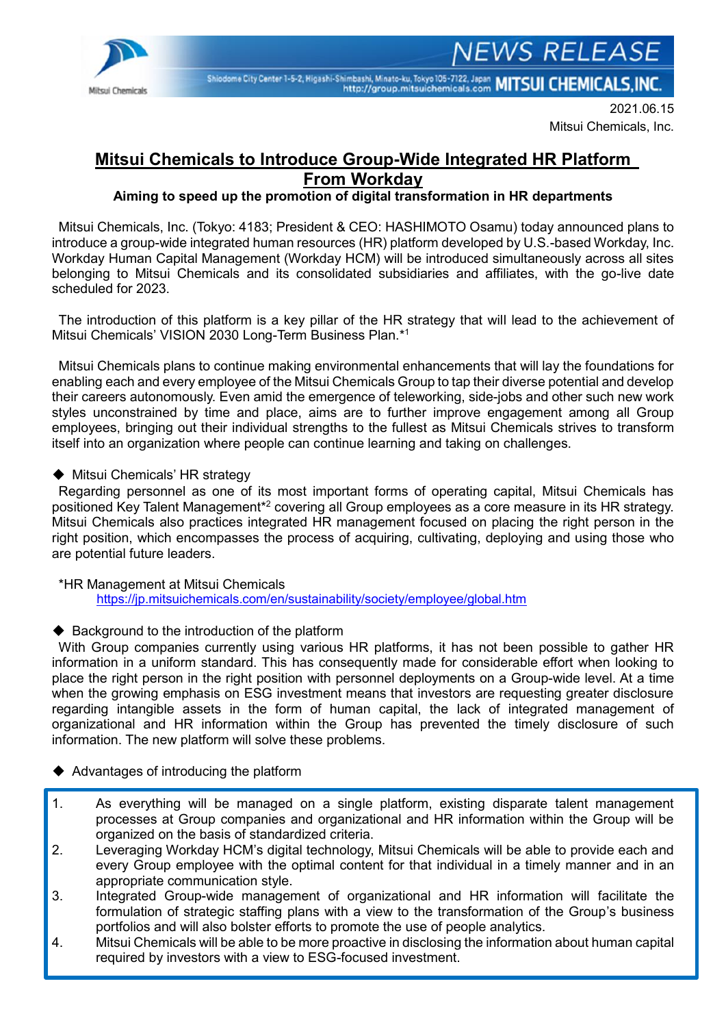

Shiodome City Center 1-5-2, Higashi-Shimbashi, Minato-ku, Tokyo 105-7122, Japan MITSUI CHEMICALS, INC.

2021.06.15 Mitsui Chemicals, Inc.

**JEWS RELEASE** 

# **Mitsui Chemicals to Introduce Group-Wide Integrated HR Platform From Workday**

**Aiming to speed up the promotion of digital transformation in HR departments**

Mitsui Chemicals, Inc. (Tokyo: 4183; President & CEO: HASHIMOTO Osamu) today announced plans to introduce a group-wide integrated human resources (HR) platform developed by U.S.-based Workday, Inc. Workday Human Capital Management (Workday HCM) will be introduced simultaneously across all sites belonging to Mitsui Chemicals and its consolidated subsidiaries and affiliates, with the go-live date scheduled for 2023.

The introduction of this platform is a key pillar of the HR strategy that will lead to the achievement of Mitsui Chemicals' VISION 2030 Long-Term Business Plan.\* 1

Mitsui Chemicals plans to continue making environmental enhancements that will lay the foundations for enabling each and every employee of the Mitsui Chemicals Group to tap their diverse potential and develop their careers autonomously. Even amid the emergence of teleworking, side-jobs and other such new work styles unconstrained by time and place, aims are to further improve engagement among all Group employees, bringing out their individual strengths to the fullest as Mitsui Chemicals strives to transform itself into an organization where people can continue learning and taking on challenges.

◆ Mitsui Chemicals' HR strategy

Regarding personnel as one of its most important forms of operating capital, Mitsui Chemicals has positioned Key Talent Management\*<sup>2</sup> covering all Group employees as a core measure in its HR strategy. Mitsui Chemicals also practices integrated HR management focused on placing the right person in the right position, which encompasses the process of acquiring, cultivating, deploying and using those who are potential future leaders.

\*HR Management at Mitsui Chemicals <https://jp.mitsuichemicals.com/en/sustainability/society/employee/global.htm>

◆ Background to the introduction of the platform

With Group companies currently using various HR platforms, it has not been possible to gather HR information in a uniform standard. This has consequently made for considerable effort when looking to place the right person in the right position with personnel deployments on a Group-wide level. At a time when the growing emphasis on ESG investment means that investors are requesting greater disclosure regarding intangible assets in the form of human capital, the lack of integrated management of organizational and HR information within the Group has prevented the timely disclosure of such information. The new platform will solve these problems.

◆ Advantages of introducing the platform

- 1. As everything will be managed on a single platform, existing disparate talent management processes at Group companies and organizational and HR information within the Group will be organized on the basis of standardized criteria.
- 2. Leveraging Workday HCM's digital technology, Mitsui Chemicals will be able to provide each and every Group employee with the optimal content for that individual in a timely manner and in an appropriate communication style.
- 3. Integrated Group-wide management of organizational and HR information will facilitate the formulation of strategic staffing plans with a view to the transformation of the Group's business portfolios and will also bolster efforts to promote the use of people analytics.
- 4. Mitsui Chemicals will be able to be more proactive in disclosing the information about human capital required by investors with a view to ESG-focused investment.